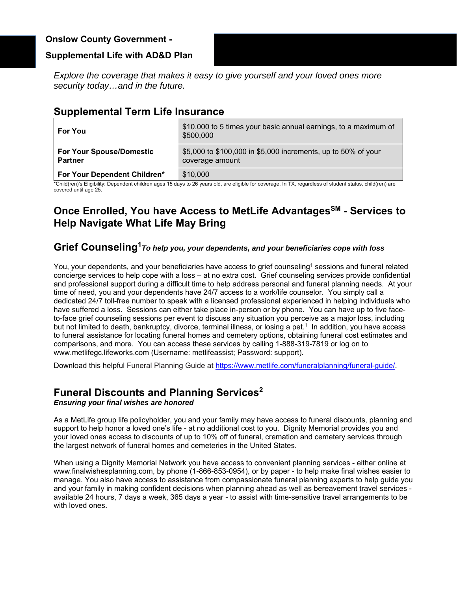## **Onslow County Government -**

## **Supplemental Life with AD&D Plan**

*Explore the coverage that makes it easy to give yourself and your loved ones more security today…and in the future.* 

# **Supplemental Term Life Insurance**

| <b>For You</b>                                    | \$10,000 to 5 times your basic annual earnings, to a maximum of<br>\$500,000     |
|---------------------------------------------------|----------------------------------------------------------------------------------|
| <b>For Your Spouse/Domestic</b><br><b>Partner</b> | \$5,000 to \$100,000 in \$5,000 increments, up to 50% of your<br>coverage amount |
| For Your Dependent Children*                      | \$10,000                                                                         |

\*Child(ren)'s Eligibility: Dependent children ages 15 days to 26 years old, are eligible for coverage. In TX, regardless of student status, child(ren) are covered until age 25.

# **Once Enrolled, You have Access to MetLife Advantages<sup>SM</sup> - Services to Help Navigate What Life May Bring**

## **Grief Counseling1***To help you, your dependents, and your beneficiaries cope with loss*

You, your dependents, and your beneficiaries have access to grief counseling<sup>1</sup> sessions and funeral related concierge services to help cope with a loss – at no extra cost. Grief counseling services provide confidential and professional support during a difficult time to help address personal and funeral planning needs. At your time of need, you and your dependents have 24/7 access to a work/life counselor. You simply call a dedicated 24/7 toll-free number to speak with a licensed professional experienced in helping individuals who have suffered a loss. Sessions can either take place in-person or by phone. You can have up to five faceto-face grief counseling sessions per event to discuss any situation you perceive as a major loss, including but not limited to death, bankruptcy, divorce, terminal illness, or losing a pet.1 In addition, you have access to funeral assistance for locating funeral homes and cemetery options, obtaining funeral cost estimates and comparisons, and more. You can access these services by calling 1-888-319-7819 or log on to www.metlifegc.lifeworks.com (Username: metlifeassist; Password: support).

Download this helpful Funeral Planning Guide at https://www.metlife.com/funeralplanning/funeral-quide/.

# **Funeral Discounts and Planning Services2**

*Ensuring your final wishes are honored* 

As a MetLife group life policyholder, you and your family may have access to funeral discounts, planning and support to help honor a loved one's life - at no additional cost to you. Dignity Memorial provides you and your loved ones access to discounts of up to 10% off of funeral, cremation and cemetery services through the largest network of funeral homes and cemeteries in the United States.

When using a Dignity Memorial Network you have access to convenient planning services - either online at www.finalwishesplanning.com, by phone (1-866-853-0954), or by paper - to help make final wishes easier to manage. You also have access to assistance from compassionate funeral planning experts to help guide you and your family in making confident decisions when planning ahead as well as bereavement travel services available 24 hours, 7 days a week, 365 days a year - to assist with time-sensitive travel arrangements to be with loved ones.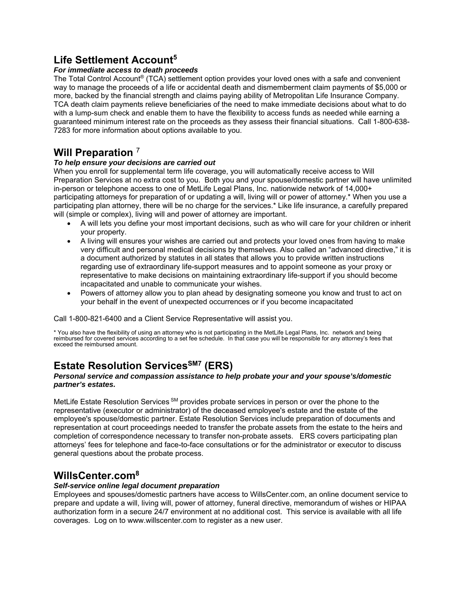# **Life Settlement Account5**

#### *For immediate access to death proceeds*

The Total Control Account® (TCA) settlement option provides your loved ones with a safe and convenient way to manage the proceeds of a life or accidental death and dismemberment claim payments of \$5,000 or more, backed by the financial strength and claims paying ability of Metropolitan Life Insurance Company. TCA death claim payments relieve beneficiaries of the need to make immediate decisions about what to do with a lump-sum check and enable them to have the flexibility to access funds as needed while earning a guaranteed minimum interest rate on the proceeds as they assess their financial situations. Call 1-800-638- 7283 for more information about options available to you.

# **Will Preparation** <sup>7</sup>

#### *To help ensure your decisions are carried out*

When you enroll for supplemental term life coverage, you will automatically receive access to Will Preparation Services at no extra cost to you. Both you and your spouse/domestic partner will have unlimited in-person or telephone access to one of MetLife Legal Plans, Inc. nationwide network of 14,000+ participating attorneys for preparation of or updating a will, living will or power of attorney.\* When you use a participating plan attorney, there will be no charge for the services.\* Like life insurance, a carefully prepared will (simple or complex), living will and power of attorney are important.

- A will lets you define your most important decisions, such as who will care for your children or inherit your property.
- A living will ensures your wishes are carried out and protects your loved ones from having to make very difficult and personal medical decisions by themselves. Also called an "advanced directive," it is a document authorized by statutes in all states that allows you to provide written instructions regarding use of extraordinary life-support measures and to appoint someone as your proxy or representative to make decisions on maintaining extraordinary life-support if you should become incapacitated and unable to communicate your wishes.
- Powers of attorney allow you to plan ahead by designating someone you know and trust to act on your behalf in the event of unexpected occurrences or if you become incapacitated

Call 1-800-821-6400 and a Client Service Representative will assist you.

\* You also have the flexibility of using an attorney who is not participating in the MetLife Legal Plans, Inc. network and being reimbursed for covered services according to a set fee schedule. In that case you will be responsible for any attorney's fees that exceed the reimbursed amount.

# **Estate Resolution Services**<sup>SM7</sup> (ERS)

#### *Personal service and compassion assistance to help probate your and your spouse's/domestic partner's estates.*

MetLife Estate Resolution Services SM provides probate services in person or over the phone to the representative (executor or administrator) of the deceased employee's estate and the estate of the employee's spouse/domestic partner. Estate Resolution Services include preparation of documents and representation at court proceedings needed to transfer the probate assets from the estate to the heirs and completion of correspondence necessary to transfer non-probate assets. ERS covers participating plan attorneys' fees for telephone and face-to-face consultations or for the administrator or executor to discuss general questions about the probate process.

# **WillsCenter.com8**

#### *Self-service online legal document preparation*

Employees and spouses/domestic partners have access to WillsCenter.com, an online document service to prepare and update a will, living will, power of attorney, funeral directive, memorandum of wishes or HIPAA authorization form in a secure 24/7 environment at no additional cost. This service is available with all life coverages. Log on to www.willscenter.com to register as a new user.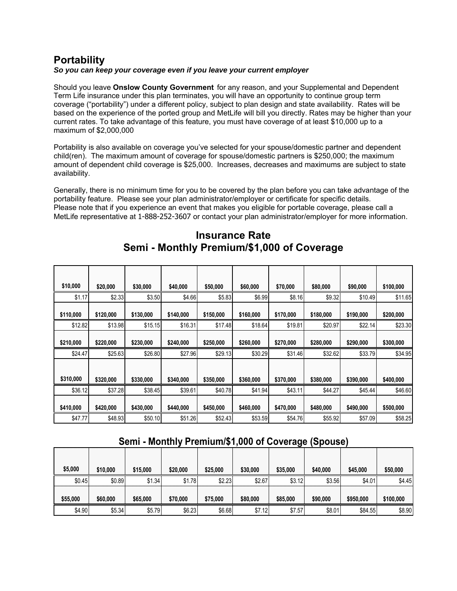# **Portability**

#### *So you can keep your coverage even if you leave your current employer*

Should you leave **Onslow County Government** for any reason, and your Supplemental and Dependent Term Life insurance under this plan terminates, you will have an opportunity to continue group term coverage ("portability") under a different policy, subject to plan design and state availability. Rates will be based on the experience of the ported group and MetLife will bill you directly. Rates may be higher than your current rates. To take advantage of this feature, you must have coverage of at least \$10,000 up to a maximum of \$2,000,000

Portability is also available on coverage you've selected for your spouse/domestic partner and dependent child(ren). The maximum amount of coverage for spouse/domestic partners is \$250,000; the maximum amount of dependent child coverage is \$25,000. Increases, decreases and maximums are subject to state availability.

Generally, there is no minimum time for you to be covered by the plan before you can take advantage of the portability feature. Please see your plan administrator/employer or certificate for specific details. Please note that if you experience an event that makes you eligible for portable coverage, please call a MetLife representative at 1-888-252-3607 or contact your plan administrator/employer for more information.

| \$10,000  | \$20,000  | \$30,000  | \$40,000  | \$50,000  | \$60,000  | \$70,000  | \$80,000  | \$90,000  | \$100,000 |
|-----------|-----------|-----------|-----------|-----------|-----------|-----------|-----------|-----------|-----------|
| \$1.17    | \$2.33    | \$3.50    | \$4.66    | \$5.83    | \$6.99    | \$8.16    | \$9.32    | \$10.49   | \$11.65   |
| \$110,000 | \$120,000 | \$130,000 | \$140,000 | \$150,000 | \$160,000 | \$170,000 | \$180,000 | \$190,000 | \$200,000 |
| \$12.82   | \$13.98   | \$15.15   | \$16.31   | \$17.48   | \$18.64   | \$19.81   | \$20.97   | \$22.14   | \$23.30   |
| \$210,000 | \$220,000 | \$230,000 | \$240,000 | \$250,000 | \$260,000 | \$270,000 | \$280,000 | \$290,000 | \$300,000 |
| \$24.47   | \$25.63   | \$26.80   | \$27.96   | \$29.13   | \$30.29   | \$31.46   | \$32.62   | \$33.79   | \$34.95   |
| \$310,000 | \$320,000 | \$330,000 | \$340,000 | \$350,000 | \$360,000 | \$370,000 | \$380,000 | \$390,000 | \$400,000 |
| \$36.12   | \$37.28   | \$38.45   | \$39.61   | \$40.78   | \$41.94   | \$43.11   | \$44.27   | \$45.44   | \$46.60   |
| \$410,000 | \$420,000 | \$430,000 | \$440,000 | \$450,000 | \$460,000 | \$470,000 | \$480,000 | \$490,000 | \$500,000 |
| \$47.77   | \$48.93   | \$50.10   | \$51.26   | \$52.43   | \$53.59   | \$54.76   | \$55.92   | \$57.09   | \$58.25   |

# **Insurance Rate Semi - Monthly Premium/\$1,000 of Coverage**

## **Semi - Monthly Premium/\$1,000 of Coverage (Spouse)**

| \$5,000  | \$10,000 | \$15,000 | \$20,000 | \$25.000 | \$30,000 | \$35,000 | \$40,000 | \$45,000  | \$50,000  |
|----------|----------|----------|----------|----------|----------|----------|----------|-----------|-----------|
| \$0.45   | \$0.89   | \$1.34   | \$1.78   | \$2.23   | \$2.67   | \$3.12   | \$3.56   | \$4.01    | \$4.45    |
| \$55,000 | \$60,000 | \$65,000 | \$70,000 | \$75,000 | \$80,000 | \$85,000 | \$90,000 | \$950,000 | \$100,000 |
| \$4.90   | \$5.34   | \$5.79   | \$6.23   | \$6.68   | \$7.12   | \$7.57   | \$8.01   | \$84.55   | \$8.90    |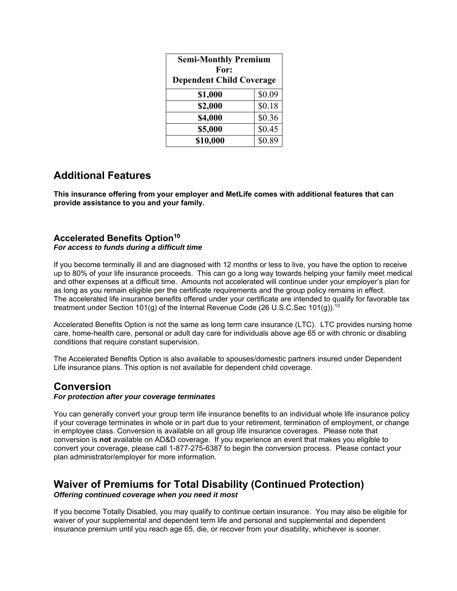| <b>Semi-Monthly Premium</b><br>For:<br><b>Dependent Child Coverage</b> |        |  |  |  |
|------------------------------------------------------------------------|--------|--|--|--|
| \$1,000                                                                | \$0.09 |  |  |  |
| \$2,000                                                                | \$0.18 |  |  |  |
| \$4,000                                                                | \$0.36 |  |  |  |
| \$5,000                                                                | \$0.45 |  |  |  |
| \$10,000                                                               | \$0.89 |  |  |  |

# **Additional Features**

**This insurance offering from your employer and MetLife comes with additional features that can provide assistance to you and your family.** 

#### **Accelerated Benefits Option10** *For access to funds during a difficult time*

If you become terminally ill and are diagnosed with 12 months or less to live, you have the option to receive up to 80% of your life insurance proceeds. This can go a long way towards helping your family meet medical and other expenses at a difficult time. Amounts not accelerated will continue under your employer's plan for as long as you remain eligible per the certificate requirements and the group policy remains in effect. The accelerated life insurance benefits offered under your certificate are intended to qualify for favorable tax treatment under Section 101(g) of the Internal Revenue Code (26 U.S.C.Sec 101(g)).<sup>10</sup>

Accelerated Benefits Option is not the same as long term care insurance (LTC). LTC provides nursing home care, home-health care, personal or adult day care for individuals above age 65 or with chronic or disabling conditions that require constant supervision.

The Accelerated Benefits Option is also available to spouses/domestic partners insured under Dependent Life insurance plans. This option is not available for dependent child coverage.

# **Conversion**

#### *For protection after your coverage terminates*

You can generally convert your group term life insurance benefits to an individual whole life insurance policy if your coverage terminates in whole or in part due to your retirement, termination of employment, or change in employee class. Conversion is available on all group life insurance coverages. Please note that conversion is **not** available on AD&D coverage. If you experience an event that makes you eligible to convert your coverage, please call 1-877-275-6387 to begin the conversion process. Please contact your plan administrator/employer for more information.

### **Waiver of Premiums for Total Disability (Continued Protection)** *Offering continued coverage when you need it most*

If you become Totally Disabled, you may qualify to continue certain insurance. You may also be eligible for waiver of your supplemental and dependent term life and personal and supplemental and dependent insurance premium until you reach age 65, die, or recover from your disability, whichever is sooner.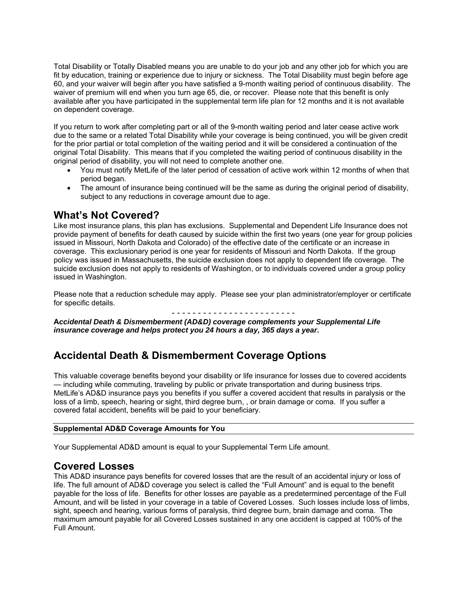Total Disability or Totally Disabled means you are unable to do your job and any other job for which you are fit by education, training or experience due to injury or sickness. The Total Disability must begin before age 60, and your waiver will begin after you have satisfied a 9-month waiting period of continuous disability. The waiver of premium will end when you turn age 65, die, or recover. Please note that this benefit is only available after you have participated in the supplemental term life plan for 12 months and it is not available on dependent coverage.

If you return to work after completing part or all of the 9-month waiting period and later cease active work due to the same or a related Total Disability while your coverage is being continued, you will be given credit for the prior partial or total completion of the waiting period and it will be considered a continuation of the original Total Disability. This means that if you completed the waiting period of continuous disability in the original period of disability, you will not need to complete another one.

- You must notify MetLife of the later period of cessation of active work within 12 months of when that period began.
- The amount of insurance being continued will be the same as during the original period of disability, subject to any reductions in coverage amount due to age.

# **What's Not Covered?**

Like most insurance plans, this plan has exclusions. Supplemental and Dependent Life Insurance does not provide payment of benefits for death caused by suicide within the first two years (one year for group policies issued in Missouri, North Dakota and Colorado) of the effective date of the certificate or an increase in coverage. This exclusionary period is one year for residents of Missouri and North Dakota. If the group policy was issued in Massachusetts, the suicide exclusion does not apply to dependent life coverage. The suicide exclusion does not apply to residents of Washington, or to individuals covered under a group policy issued in Washington.

Please note that a reduction schedule may apply. Please see your plan administrator/employer or certificate for specific details.

- - - - - - - - - - - - - - - - - - - - - - - -

**A***ccidental Death & Dismemberment (AD&D) coverage complements your Supplemental Life insurance coverage and helps protect you 24 hours a day, 365 days a year***.**

# **Accidental Death & Dismemberment Coverage Options**

This valuable coverage benefits beyond your disability or life insurance for losses due to covered accidents — including while commuting, traveling by public or private transportation and during business trips. MetLife's AD&D insurance pays you benefits if you suffer a covered accident that results in paralysis or the loss of a limb, speech, hearing or sight, third degree burn, , or brain damage or coma. If you suffer a covered fatal accident, benefits will be paid to your beneficiary.

#### **Supplemental AD&D Coverage Amounts for You**

Your Supplemental AD&D amount is equal to your Supplemental Term Life amount.

## **Covered Losses**

This AD&D insurance pays benefits for covered losses that are the result of an accidental injury or loss of life. The full amount of AD&D coverage you select is called the "Full Amount" and is equal to the benefit payable for the loss of life. Benefits for other losses are payable as a predetermined percentage of the Full Amount, and will be listed in your coverage in a table of Covered Losses. Such losses include loss of limbs, sight, speech and hearing, various forms of paralysis, third degree burn, brain damage and coma. The maximum amount payable for all Covered Losses sustained in any one accident is capped at 100% of the Full Amount.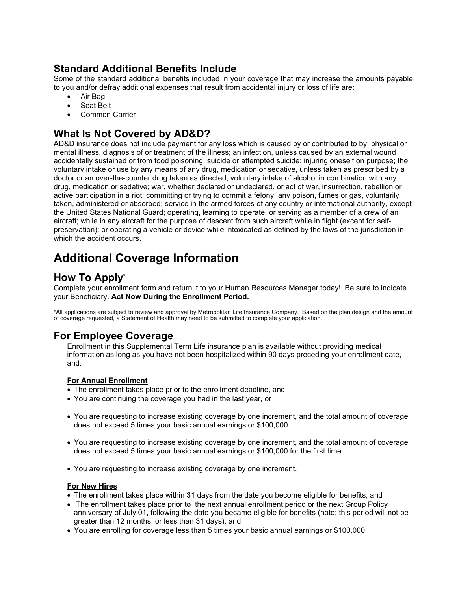# **Standard Additional Benefits Include**

Some of the standard additional benefits included in your coverage that may increase the amounts payable to you and/or defray additional expenses that result from accidental injury or loss of life are:

- Air Bag
- Seat Belt
- Common Carrier

# **What Is Not Covered by AD&D?**

AD&D insurance does not include payment for any loss which is caused by or contributed to by: physical or mental illness, diagnosis of or treatment of the illness; an infection, unless caused by an external wound accidentally sustained or from food poisoning; suicide or attempted suicide; injuring oneself on purpose; the voluntary intake or use by any means of any drug, medication or sedative, unless taken as prescribed by a doctor or an over-the-counter drug taken as directed; voluntary intake of alcohol in combination with any drug, medication or sedative; war, whether declared or undeclared, or act of war, insurrection, rebellion or active participation in a riot; committing or trying to commit a felony; any poison, fumes or gas, voluntarily taken, administered or absorbed; service in the armed forces of any country or international authority, except the United States National Guard; operating, learning to operate, or serving as a member of a crew of an aircraft; while in any aircraft for the purpose of descent from such aircraft while in flight (except for selfpreservation); or operating a vehicle or device while intoxicated as defined by the laws of the jurisdiction in which the accident occurs.

# **Additional Coverage Information**

# **How To Apply\***

Complete your enrollment form and return it to your Human Resources Manager today! Be sure to indicate your Beneficiary. **Act Now During the Enrollment Period.** 

\*All applications are subject to review and approval by Metropolitan Life Insurance Company. Based on the plan design and the amount of coverage requested, a Statement of Health may need to be submitted to complete your application.

# **For Employee Coverage**

Enrollment in this Supplemental Term Life insurance plan is available without providing medical information as long as you have not been hospitalized within 90 days preceding your enrollment date, and:

#### **For Annual Enrollment**

- The enrollment takes place prior to the enrollment deadline, and
- You are continuing the coverage you had in the last year, or
- You are requesting to increase existing coverage by one increment, and the total amount of coverage does not exceed 5 times your basic annual earnings or \$100,000.
- You are requesting to increase existing coverage by one increment, and the total amount of coverage does not exceed 5 times your basic annual earnings or \$100,000 for the first time.
- You are requesting to increase existing coverage by one increment.

#### **For New Hires**

- The enrollment takes place within 31 days from the date you become eligible for benefits, and
- The enrollment takes place prior to the next annual enrollment period or the next Group Policy anniversary of July 01, following the date you became eligible for benefits (note: this period will not be greater than 12 months, or less than 31 days), and
- You are enrolling for coverage less than 5 times your basic annual earnings or \$100,000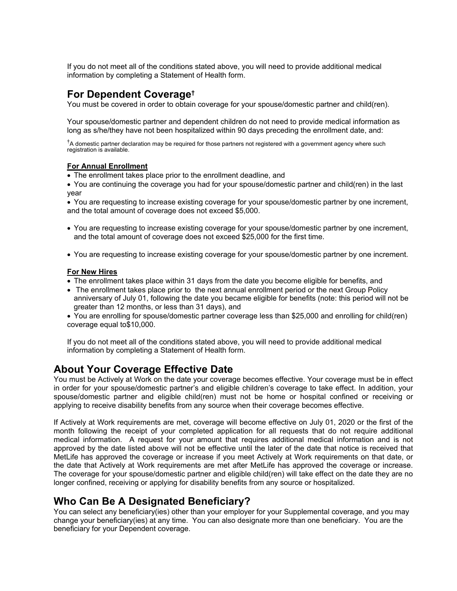If you do not meet all of the conditions stated above, you will need to provide additional medical information by completing a Statement of Health form.

# **For Dependent Coverage†**

You must be covered in order to obtain coverage for your spouse/domestic partner and child(ren).

Your spouse/domestic partner and dependent children do not need to provide medical information as long as s/he/they have not been hospitalized within 90 days preceding the enrollment date, and:

**†** A domestic partner declaration may be required for those partners not registered with a government agency where such registration is available.

#### **For Annual Enrollment**

The enrollment takes place prior to the enrollment deadline, and

 You are continuing the coverage you had for your spouse/domestic partner and child(ren) in the last year

 You are requesting to increase existing coverage for your spouse/domestic partner by one increment, and the total amount of coverage does not exceed \$5,000.

- You are requesting to increase existing coverage for your spouse/domestic partner by one increment, and the total amount of coverage does not exceed \$25,000 for the first time.
- You are requesting to increase existing coverage for your spouse/domestic partner by one increment.

#### **For New Hires**

- The enrollment takes place within 31 days from the date you become eligible for benefits, and
- The enrollment takes place prior to the next annual enrollment period or the next Group Policy anniversary of July 01, following the date you became eligible for benefits (note: this period will not be greater than 12 months, or less than 31 days), and
- You are enrolling for spouse/domestic partner coverage less than \$25,000 and enrolling for child(ren) coverage equal to\$10,000.

If you do not meet all of the conditions stated above, you will need to provide additional medical information by completing a Statement of Health form.

# **About Your Coverage Effective Date**

You must be Actively at Work on the date your coverage becomes effective. Your coverage must be in effect in order for your spouse/domestic partner's and eligible children's coverage to take effect. In addition, your spouse/domestic partner and eligible child(ren) must not be home or hospital confined or receiving or applying to receive disability benefits from any source when their coverage becomes effective.

If Actively at Work requirements are met, coverage will become effective on July 01, 2020 or the first of the month following the receipt of your completed application for all requests that do not require additional medical information. A request for your amount that requires additional medical information and is not approved by the date listed above will not be effective until the later of the date that notice is received that MetLife has approved the coverage or increase if you meet Actively at Work requirements on that date, or the date that Actively at Work requirements are met after MetLife has approved the coverage or increase. The coverage for your spouse/domestic partner and eligible child(ren) will take effect on the date they are no longer confined, receiving or applying for disability benefits from any source or hospitalized.

# **Who Can Be A Designated Beneficiary?**

You can select any beneficiary(ies) other than your employer for your Supplemental coverage, and you may change your beneficiary(ies) at any time. You can also designate more than one beneficiary. You are the beneficiary for your Dependent coverage.